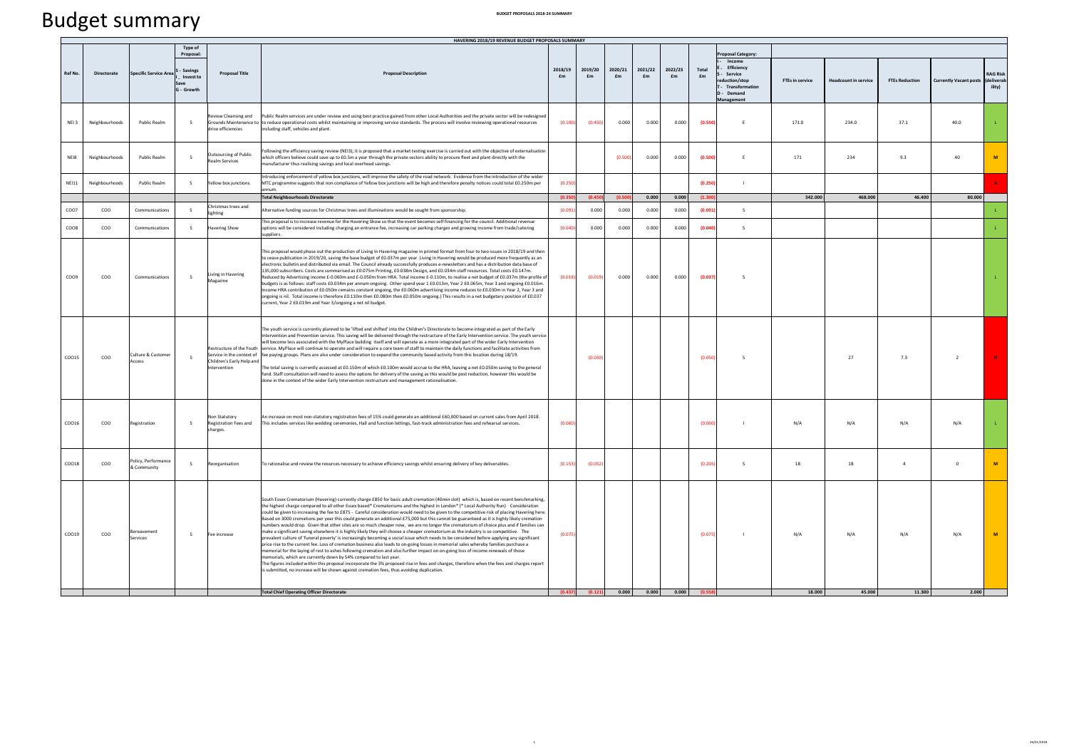## Budget summary

|                   |                |                                    |                                    |                                                           | HAVERING 2018/19 REVENUE BUDGET PROPOSALS SUMMARY                                                                                                                                                                                                                                                                                                                                                                                                                                                                                                                                                                                                                                                                                                                                                                                                                                                                                                                                                                                                                                                                                                                                                                                                                                                                                                                                                                                                                                                                                                                                                             |               |                                                     |               |               |               |             |                                                                            |                        |                             |                       |                               |                                        |
|-------------------|----------------|------------------------------------|------------------------------------|-----------------------------------------------------------|---------------------------------------------------------------------------------------------------------------------------------------------------------------------------------------------------------------------------------------------------------------------------------------------------------------------------------------------------------------------------------------------------------------------------------------------------------------------------------------------------------------------------------------------------------------------------------------------------------------------------------------------------------------------------------------------------------------------------------------------------------------------------------------------------------------------------------------------------------------------------------------------------------------------------------------------------------------------------------------------------------------------------------------------------------------------------------------------------------------------------------------------------------------------------------------------------------------------------------------------------------------------------------------------------------------------------------------------------------------------------------------------------------------------------------------------------------------------------------------------------------------------------------------------------------------------------------------------------------------|---------------|-----------------------------------------------------|---------------|---------------|---------------|-------------|----------------------------------------------------------------------------|------------------------|-----------------------------|-----------------------|-------------------------------|----------------------------------------|
|                   |                |                                    | <b>Type of</b><br>Proposal:        |                                                           |                                                                                                                                                                                                                                                                                                                                                                                                                                                                                                                                                                                                                                                                                                                                                                                                                                                                                                                                                                                                                                                                                                                                                                                                                                                                                                                                                                                                                                                                                                                                                                                                               |               |                                                     |               |               |               |             | roposal Category:<br>Income                                                |                        |                             |                       |                               |                                        |
| <b>Ref No</b>     | Directorate    | <b>Specific Service Area</b>       | Savings<br>Invest to<br>G - Growth | <b>Proposal Title</b>                                     | <b>Proposal Description</b>                                                                                                                                                                                                                                                                                                                                                                                                                                                                                                                                                                                                                                                                                                                                                                                                                                                                                                                                                                                                                                                                                                                                                                                                                                                                                                                                                                                                                                                                                                                                                                                   | 2018/19<br>£m | 2019/20<br>£m                                       | 2020/21<br>£m | 2021/22<br>£m | 2022/23<br>£m | Total<br>£m | Efficiency<br>Service<br>ction/stop<br>Transformation<br>Demand<br>nagemen | <b>FTEs in service</b> | <b>Headcount in service</b> | <b>FTEs Reduction</b> | <b>Currently Vacant posts</b> | <b>RAG Risk</b><br>(delivera<br>ility) |
| NEI 3             | Neighbourhoods | Public Realm                       | $\mathsf{s}$                       | eview Cleansing and<br>drive efficiencies                 | Public Realm services are under review and using best practice gained from other Local Authorities and the private sector will be redesigned<br>Grounds Maintenance to to reduce operational costs whilst maintaining or improving service standards. The process will involve reviewing operational resources<br>including staff, vehicles and plant.                                                                                                                                                                                                                                                                                                                                                                                                                                                                                                                                                                                                                                                                                                                                                                                                                                                                                                                                                                                                                                                                                                                                                                                                                                                        | (0.100)       | (0.450)                                             | 0.000         | 0.000         | 0.000         | (0.550)     | E                                                                          | 171.0                  | 234.0                       | 37.1                  | 40.0                          |                                        |
| NEI8              | Neighbourhoods | Public Realm                       | s.                                 | Outsourcing of Public<br>ealm Services                    | ollowing the efficiency saving review (NEI3), it is proposed that a market testing exercise is carried out with the objective of externalisation<br>which officers believe could save up to £0.5m a year through the private sectors ability to procure fleet and plant directly with the<br>manufacturer thus realising savings and local overhead savings.                                                                                                                                                                                                                                                                                                                                                                                                                                                                                                                                                                                                                                                                                                                                                                                                                                                                                                                                                                                                                                                                                                                                                                                                                                                  |               |                                                     | 10.500        | 0.000         | 0.000         | (0.500)     | F                                                                          | 171                    | 234                         | 9.3                   | 40                            | M                                      |
| <b>NEI11</b>      | Neighbourhoods | <b>Public Realm</b>                | s                                  | Yellow box junctions.                                     | Introducing enforcement of yellow box junctions, will improve the safety of the road network. Evidence from the introduction of the wider<br>MTC programme suggests that non compliance of Yellow box junctions will be high and therefore penalty notices could total £0.250m per                                                                                                                                                                                                                                                                                                                                                                                                                                                                                                                                                                                                                                                                                                                                                                                                                                                                                                                                                                                                                                                                                                                                                                                                                                                                                                                            | (0.250)       |                                                     |               |               |               | (0.250)     |                                                                            |                        |                             |                       |                               |                                        |
|                   |                |                                    |                                    |                                                           | <b>Total Neighbourhoods Directorate</b>                                                                                                                                                                                                                                                                                                                                                                                                                                                                                                                                                                                                                                                                                                                                                                                                                                                                                                                                                                                                                                                                                                                                                                                                                                                                                                                                                                                                                                                                                                                                                                       | (0.35)        | (0.45)                                              | (0.500)       | 0.000         | 0.000         | (1.30)      |                                                                            | 342.000                | 468,000                     | 46,400                | 80,000                        |                                        |
| CO <sub>O</sub> 7 | coo            | Communications                     | S                                  | Christmas trees and<br>lighting                           | Alternative funding sources for Christmas trees and illuminations would be sought from sponsorship.                                                                                                                                                                                                                                                                                                                                                                                                                                                                                                                                                                                                                                                                                                                                                                                                                                                                                                                                                                                                                                                                                                                                                                                                                                                                                                                                                                                                                                                                                                           | (0.091)       | 0.000                                               | 0.000         | 0.000         | 0.000         | (0.091)     | s.                                                                         |                        |                             |                       |                               |                                        |
| COO8              | COO            | Communications                     | s.                                 | Havering Show                                             | This proposal is to increase revenue for the Havering Show so that the event becomes self financing for the council. Additional revenue<br>options will be considered including charging an entrance fee, increasing car parking charges and growing income from trade/catering<br>suppliers.                                                                                                                                                                                                                                                                                                                                                                                                                                                                                                                                                                                                                                                                                                                                                                                                                                                                                                                                                                                                                                                                                                                                                                                                                                                                                                                 | (0.040)       | 0.000                                               | 0.000         | 0.000         | 0.000         | (0.040)     | -S                                                                         |                        |                             |                       |                               |                                        |
| CO <sub>O9</sub>  | coo            | Communications                     | $\sim$                             | Living in Havering<br>Magazine                            | This proposal would phase out the production of Living In Havering magazine in printed format from four to two issues in 2018/19 and then<br>to cease publication in 2019/20, saving the base budget of £0.037m per year. Living in Havering would be produced more frequently as an<br>electronic bulletin and distributed via email. The Council already successfully produces e-newsletters and has a distribution data base of<br>135,000 subscribers. Costs are summarised as £0.075m Printing, £0.038m Design, and £0.034m staff resources. Total costs £0.147m.<br>Reduced by Advertising income £-0.060m and £-0.050m from HRA. Total income £-0.110m, to realise a net budget of £0.037m (the profile of<br>budgets is as follows: staff costs £0.034m per annum ongoing. Other spend year 1 £0.013m, Year 2 £0.065m, Year 3 and ongoing £0.016m.<br>Income HRA contribution of £0.050m remains constant ongoing, the £0.060m advertising income reduces to £0.030m in Year 2, Year 3 and<br>ongoing is nil. Total income is therefore £0.110m then £0.080m then £0.050m ongoing.) This results in a net budgetary position of £0.037<br>current, Year 2 £0.019m and Year 3/ongoing a net nil budget.                                                                                                                                                                                                                                                                                                                                                                                                | 10.018        | (0.019)                                             | 0.000         | 0.000         | 0.000         | (0.037)     | $\sim$                                                                     |                        |                             |                       |                               |                                        |
| CO015             | COO            | Culture & Customer<br>Access       | $\sim$                             | Children's Early Help and<br>Intervention                 | The youth service is currently planned to be 'lifted and shifted' into the Children's Directorate to become integrated as part of the Early<br>Intervention and Prevention service. This saving will be delivered through the restructure of the Early Intervention service. The youth service<br>will become less associated with the MyPlace building itself and will operate as a more integrated part of the wider Early Intervention<br>Restructure of the Youth service. MyPlace will continue to operate and will require a core team of staff to maintain the daily functions and facilitate activities from<br>Service in the context of fee paying groups. Plans are also under consideration to expand the community based activity from this location during 18/19.<br>The total saving is currently assessed at £0.150m of which £0.100m would accrue to the HRA, leaving a net £0.050m saving to the general<br>fund. Staff consultation will need to assess the options for delivery of the saving as this would be post reduction, however this would be<br>done in the context of the wider Early Intervention restructure and management rationalisation.                                                                                                                                                                                                                                                                                                                                                                                                                                   |               | (0.05)                                              |               |               |               | (0.050)     | $\sim$                                                                     |                        | 27                          | 7.3                   | $\overline{2}$                |                                        |
| CO016             | COO            | Registration                       | -S                                 | Non Statutory<br><b>Registration Fees and</b><br>charges. | An increase on most non-statutory registration fees of 15% could generate an additional £60,000 based on current sales from April 2018.<br>This includes services like wedding ceremonies, Hall and function lettings, fast-track administration fees and rehearsal services.                                                                                                                                                                                                                                                                                                                                                                                                                                                                                                                                                                                                                                                                                                                                                                                                                                                                                                                                                                                                                                                                                                                                                                                                                                                                                                                                 | (0.060)       |                                                     |               |               |               | (0.06)      |                                                                            | N/A                    | N/A                         | N/A                   | N/A                           |                                        |
| CO018             | $_{\rm COO}$   | Policy, Performance<br>& Community | S                                  | Reorganisation                                            | To rationalise and review the reources necessary to achieve efficiency savings whilst ensuring delivery of key deliverables.                                                                                                                                                                                                                                                                                                                                                                                                                                                                                                                                                                                                                                                                                                                                                                                                                                                                                                                                                                                                                                                                                                                                                                                                                                                                                                                                                                                                                                                                                  | (0.153)       | (0.052)                                             |               |               |               | (0.205)     | -S                                                                         | 18                     | 18                          | $\overline{4}$        | $\mathbf{0}$                  | M                                      |
| COO19             | $_{\rm COO}$   | Bereavement<br>Services            | $\mathsf{s}$                       | Fee increase                                              | South Essex Crematorium (Havering) currently charge £850 for basic adult cremation (40min slot) which is, based on recent benchmarking,<br>the highest charge compared to all other Essex based* Crematoriums and the highest in London* (* Local Authority Run) Consideration<br>could be given to increasing the fee to £875 - Careful consideration would need to be given to the competitive risk of placing Havering here<br>Based on 3000 cremations per year this could generate an additional £75,000 but this cannot be guaranteed as it is highly likely cremation<br>numbers would drop. Given that other sites are so much cheaper now, we are no longer the crematorium of choice plus and if families can<br>make a significant saving elsewhere it is highly likely they will choose a cheaper crematorium as the industry is so competitive. The<br>prevalent culture of 'funeral poverty' is increasingly becoming a social issue which needs to be considered before applying any significant<br>price rise to the current fee. Loss of cremation business also leads to on-going losses in memorial sales whereby families purchase a<br>memorial for the laying of rest to ashes following cremation and also further impact on on-going loss of income renewals of those<br>nemorials, which are currently down by 54% compared to last year<br>The figures included within this proposal incorporate the 3% proposed rise in fees and charges, therefore when the fees and charges report<br>is submitted, no increase will be shown against cremation fees, thus avoiding duplication. | (0.075)       | $(0.437)$ $(0.121)$ $0.000$ $0.000$ $0.000$ $0.000$ |               |               |               | (0.075)     |                                                                            | N/A                    | N/A                         | N/A                   | N/A                           | M                                      |
|                   |                |                                    |                                    |                                                           | <b>Total Chief Operating Officer Directorate</b>                                                                                                                                                                                                                                                                                                                                                                                                                                                                                                                                                                                                                                                                                                                                                                                                                                                                                                                                                                                                                                                                                                                                                                                                                                                                                                                                                                                                                                                                                                                                                              |               |                                                     |               |               |               | (0.55)      |                                                                            | 18,000                 | 45,000                      | 11.300                | 2,000                         |                                        |

 $\mathbf{1}$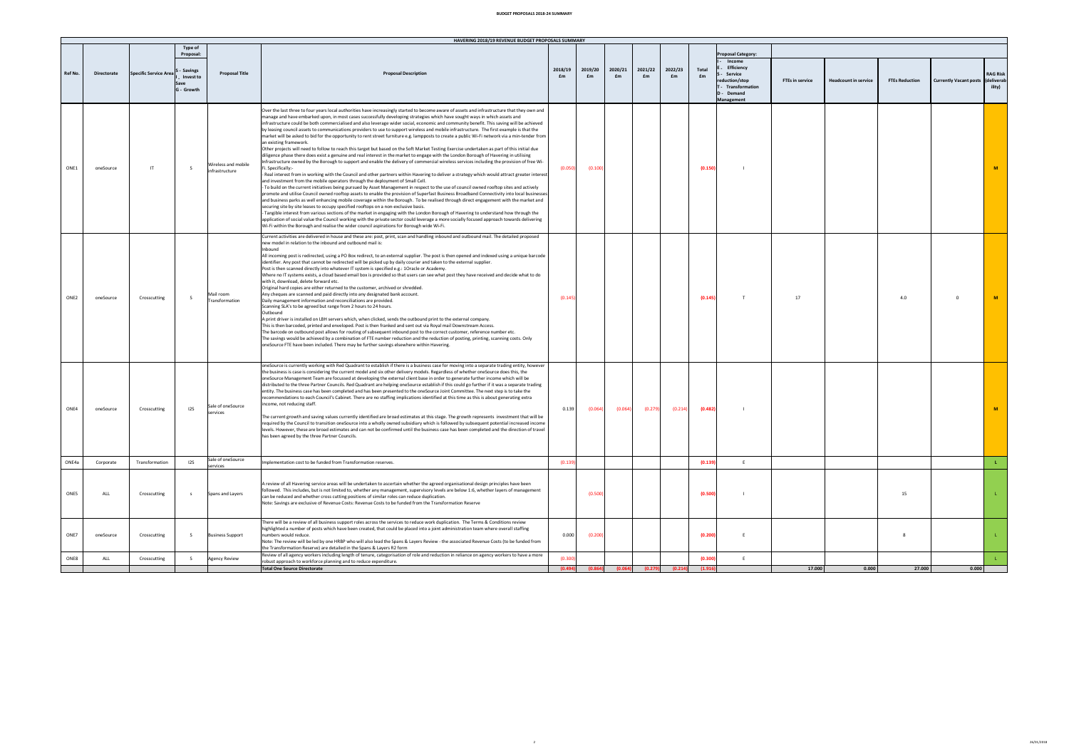## **BUDGET PROPOSALS 2018‐24 SUMMARY**

|                  |             |                              |                                                                     |                                       | HAVERING 2018/19 REVENUE BUDGET PROPOSALS SUMMARY                                                                                                                                                                                                                                                                                                                                                                                                                                                                                                                                                                                                                                                                                                                                                                                                                                                                                                                                                                                                                                                                                                                                                                                                                                                                                                                                                                                                                                                                                                                                                                                                                                                                                                                                                                                                                                                                                                                                                                                                                                                                                                                                                                                                                                                                                                            |               |               |               |               |               |             |                                                                                                                |                        |                             |                       |                                         |                           |
|------------------|-------------|------------------------------|---------------------------------------------------------------------|---------------------------------------|--------------------------------------------------------------------------------------------------------------------------------------------------------------------------------------------------------------------------------------------------------------------------------------------------------------------------------------------------------------------------------------------------------------------------------------------------------------------------------------------------------------------------------------------------------------------------------------------------------------------------------------------------------------------------------------------------------------------------------------------------------------------------------------------------------------------------------------------------------------------------------------------------------------------------------------------------------------------------------------------------------------------------------------------------------------------------------------------------------------------------------------------------------------------------------------------------------------------------------------------------------------------------------------------------------------------------------------------------------------------------------------------------------------------------------------------------------------------------------------------------------------------------------------------------------------------------------------------------------------------------------------------------------------------------------------------------------------------------------------------------------------------------------------------------------------------------------------------------------------------------------------------------------------------------------------------------------------------------------------------------------------------------------------------------------------------------------------------------------------------------------------------------------------------------------------------------------------------------------------------------------------------------------------------------------------------------------------------------------------|---------------|---------------|---------------|---------------|---------------|-------------|----------------------------------------------------------------------------------------------------------------|------------------------|-----------------------------|-----------------------|-----------------------------------------|---------------------------|
| <b>Ref No</b>    | Directorate | <b>Specific Service Area</b> | <b>Type of</b><br>Proposal:<br>- Savings<br>Invest to<br>G - Growth | <b>Proposal Title</b>                 | <b>Proposal Description</b>                                                                                                                                                                                                                                                                                                                                                                                                                                                                                                                                                                                                                                                                                                                                                                                                                                                                                                                                                                                                                                                                                                                                                                                                                                                                                                                                                                                                                                                                                                                                                                                                                                                                                                                                                                                                                                                                                                                                                                                                                                                                                                                                                                                                                                                                                                                                  | 2018/19<br>£m | 2019/20<br>£m | 2020/21<br>£m | 2021/22<br>£m | 2022/23<br>£m | Total<br>£m | roposal Category:<br>Income<br>Efficiency<br>Service<br>duction/stop<br>Transformation<br>Demand<br>Management | <b>FTEs in service</b> | <b>Headcount in service</b> | <b>FTEs Reduction</b> | <b>Currently Vacant posts (delivera</b> | <b>RAG Risk</b><br>ility) |
| ONE1             | oneSource   | $\mathsf{H}$                 | s                                                                   | Wireless and mobile<br>infrastructure | Over the last three to four years local authorities have increasingly started to become aware of assets and infrastructure that they own and<br>manage and have embarked upon, in most cases successfully developing strategies which have sought ways in which assets and<br>infrastructure could be both commercialised and also leverage wider social, economic and community benefit. This saving will be achieved<br>by leasing council assets to communications providers to use to support wireless and mobile infrastructure. The first example is that the<br>market will be asked to bid for the opportunity to rent street furniture e.g. lampposts to create a public Wi-Fi network via a min-tender from<br>an existing framework<br>Other projects will need to follow to reach this target but based on the Soft Market Testing Exercise undertaken as part of this initial due<br>diligence phase there does exist a genuine and real interest in the market to engage with the London Borough of Havering in utilising<br>Infrastructure owned by the Borough to support and enable the delivery of commercial wireless services including the provision of free Wi-<br>i. Specifically:<br>- Real interest from in working with the Council and other partners within Havering to deliver a strategy which would attract greater interest<br>and investment from the mobile operators through the deployment of Small Cell.<br>- To build on the current initiatives being pursued by Asset Management in respect to the use of council owned rooftop sites and actively<br>promote and utilise Council owned rooftop assets to enable the provision of Superfast Business Broadband Connectivity into local businesses<br>and business parks as well enhancing mobile coverage within the Borough. To be realised through direct engagement with the market and<br>securing site by site leases to occupy specified rooftops on a non-exclusive basis.<br>Tangible interest from various sections of the market in engaging with the London Borough of Havering to understand how through the<br>application of social value the Council working with the private sector could leverage a more socially focused approach towards delivering<br>Wi-Fi within the Borough and realise the wider council aspirations for Borough wide Wi-Fi. | (0.050        | (0.100)       |               |               |               | (0.150)     |                                                                                                                |                        |                             |                       |                                         | $\overline{M}$            |
| ONE <sub>2</sub> | oneSource   | Crosscutting                 | -S                                                                  | Mail room<br>Transformation           | Current activities are delivered in house and these are: post, print, scan and handling inbound and outbound mail. The detailed proposed<br>new model in relation to the inbound and outbound mail is:<br>Inhound<br>All incoming post is redirected, using a PO Box redirect, to an external supplier. The post is then opened and indexed using a unique barcode<br>identifier. Any post that cannot be redirected will be picked up by daily courier and taken to the external supplier.<br>Post is then scanned directly into whatever IT system is specified e.g.: 1Oracle or Academy.<br>Where no IT systems exists, a cloud based email box is provided so that users can see what post they have received and decide what to do<br>with it, download, delete forward etc.<br>Original hard copies are either returned to the customer, archived or shredded.<br>Any cheques are scanned and paid directly into any designated bank account.<br>Daily management information and reconciliations are provided.<br>Scanning SLA's to be agreed but range from 2 hours to 24 hours.<br>Outhound<br>A print driver is installed on LBH servers which, when clicked, sends the outbound print to the external company.<br>This is then barcoded, printed and enveloped. Post is then franked and sent out via Royal mail Downstream Access.<br>The barcode on outbound post allows for routing of subsequent inbound post to the correct customer, reference number etc.<br>The savings would be achieved by a combination of FTE number reduction and the reduction of posting, printing, scanning costs. Only<br>oneSource FTE have been included. There may be further savings elsewhere within Havering.                                                                                                                                                                                                                                                                                                                                                                                                                                                                                                                                                                                                                                              | (0.14)        |               |               |               |               | (0.145)     | T                                                                                                              | 17                     |                             | 4.0                   | $\mathbf{0}$                            | M                         |
| ONF4             | oneSource   | Crosscutting                 | 125                                                                 | Sale of oneSource<br>services         | oneSource is currently working with Red Quadrant to establish if there is a business case for moving into a separate trading entity, however<br>the business is case is considering the current model and six other delivery models. Regardless of whether oneSource does this, the<br>oneSource Management Team are focussed at developing the external client base in order to generate further income which will be<br>distributed to the three Partner Councils. Red Quadrant are helping oneSource establish if this could go further if it was a separate trading<br>entity. The business case has been completed and has been presented to the oneSource Joint Committee. The next step is to take the<br>recommendations to each Council's Cabinet. There are no staffing implications identified at this time as this is about generating extra<br>income, not reducing staff.<br>The current growth and saving values currently identified are broad estimates at this stage. The growth represents investment that will be<br>required by the Council to transition oneSource into a wholly owned subsidiary which is followed by subsequent potential increased income<br>levels. However, these are broad estimates and can not be confirmed until the business case has been completed and the direction of travel<br>has been agreed by the three Partner Councils.                                                                                                                                                                                                                                                                                                                                                                                                                                                                                                                                                                                                                                                                                                                                                                                                                                                                                                                                                                           | 0.139         | (0.064)       | (0.064)       | (0.279)       | (0.214)       | (0.482)     |                                                                                                                |                        |                             |                       |                                         | M                         |
| ONE4a            | Corporate   | Transformation               | 12S                                                                 | Sale of oneSource<br>services         | mplementation cost to be funded from Transformation reserves                                                                                                                                                                                                                                                                                                                                                                                                                                                                                                                                                                                                                                                                                                                                                                                                                                                                                                                                                                                                                                                                                                                                                                                                                                                                                                                                                                                                                                                                                                                                                                                                                                                                                                                                                                                                                                                                                                                                                                                                                                                                                                                                                                                                                                                                                                 | (0.139)       |               |               |               |               | (0.139)     | E                                                                                                              |                        |                             |                       |                                         | $\mathbf{L}$              |
| <b>ONES</b>      | ALL         | Crosscutting                 |                                                                     | Spans and Layers                      | A review of all Havering service areas will be undertaken to ascertain whether the agreed organisational design principles have been<br>followed. This includes, but is not limited to, whether any management, supervisory levels are below 1:6, whether layers of management<br>can be reduced and whether cross cutting positions of similar roles can reduce duplication<br>Note: Savings are exclusive of Revenue Costs: Revenue Costs to be funded from the Transformation Reserve                                                                                                                                                                                                                                                                                                                                                                                                                                                                                                                                                                                                                                                                                                                                                                                                                                                                                                                                                                                                                                                                                                                                                                                                                                                                                                                                                                                                                                                                                                                                                                                                                                                                                                                                                                                                                                                                     |               | (0.500        |               |               |               | (0.500)     |                                                                                                                |                        |                             | 15                    |                                         |                           |
| ONE7             | oneSource   | Crosscutting                 | -S                                                                  | <b>Business Support</b>               | There will be a review of all business support roles across the services to reduce work duplication. The Terms & Conditions review<br>highlighted a number of posts which have been created, that could be placed into a joint administration team where overall staffing<br>numbers would reduce<br>Note: The review will be led by one HRBP who will also lead the Spans & Layers Review - the associated Revenue Costs (to be funded from<br>the Transformation Reserve) are detailed in the Spans & Layers R2 form<br>Review of all agency workers including length of tenure, categorisation of role and reduction in reliance on agency workers to have a more                                                                                                                                                                                                                                                                                                                                                                                                                                                                                                                                                                                                                                                                                                                                                                                                                                                                                                                                                                                                                                                                                                                                                                                                                                                                                                                                                                                                                                                                                                                                                                                                                                                                                         | 0.000         | (0.200)       |               |               |               | (0.200)     | E                                                                                                              |                        |                             | 8                     |                                         |                           |
| ONE8             | ALL         | Crosscutting                 | S.                                                                  | <b>Agency Review</b>                  | robust approach to workforce planning and to reduce expenditure.                                                                                                                                                                                                                                                                                                                                                                                                                                                                                                                                                                                                                                                                                                                                                                                                                                                                                                                                                                                                                                                                                                                                                                                                                                                                                                                                                                                                                                                                                                                                                                                                                                                                                                                                                                                                                                                                                                                                                                                                                                                                                                                                                                                                                                                                                             | (0.300)       |               |               |               |               | (0.300)     | E                                                                                                              |                        |                             |                       |                                         |                           |
|                  |             |                              |                                                                     |                                       | Total One Source Directorate                                                                                                                                                                                                                                                                                                                                                                                                                                                                                                                                                                                                                                                                                                                                                                                                                                                                                                                                                                                                                                                                                                                                                                                                                                                                                                                                                                                                                                                                                                                                                                                                                                                                                                                                                                                                                                                                                                                                                                                                                                                                                                                                                                                                                                                                                                                                 |               |               |               |               | (0.214)       |             |                                                                                                                | 17.000                 |                             | 27.000                | 0.000                                   |                           |

 $\overline{2}$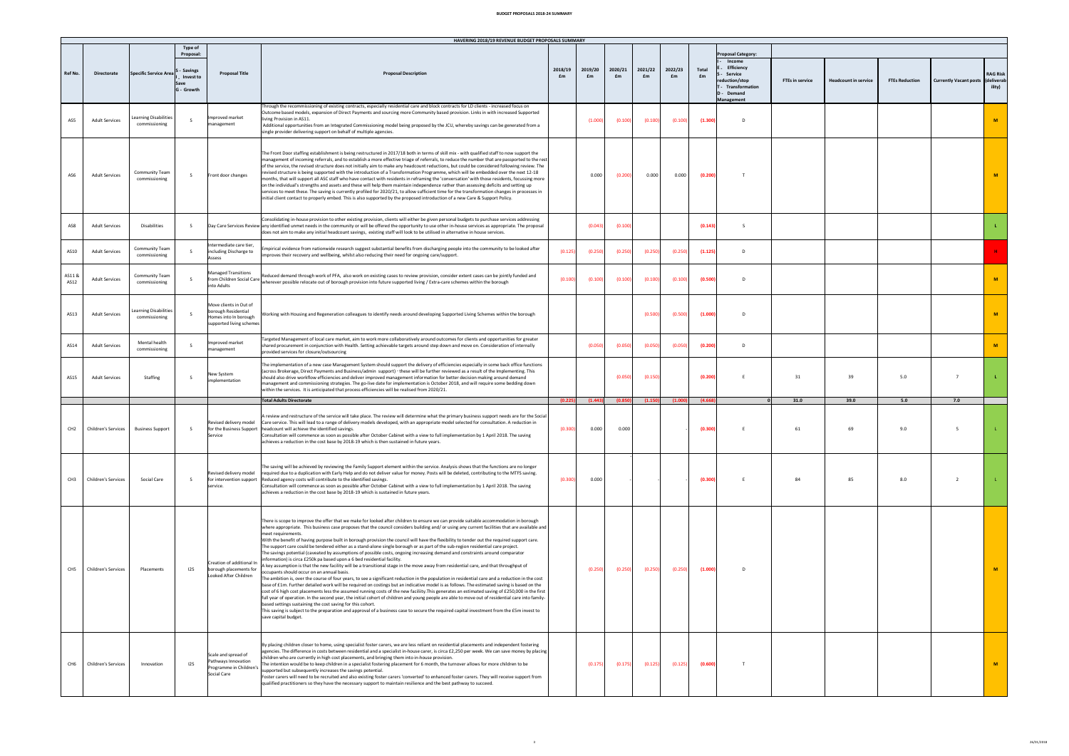## **BUDGET PROPOSALS 2018‐24 SUMMARY**

|                 |                            |                                        |                     |                                                                                                 | HAVERING 2018/19 REVENUE BUDGET PROPOSALS SUMMARY                                                                                                                                                                                                                                                                                                                                                                                                                                                                                                                                                                                                                                                                                                                                                                                                                                                                                                                                                                                                                                                                                                                                                                                                                                                                                                                                                                                                                                                                                                                                                                                                                                                                                                                                                                                            |         |          |         |         |         |         |                          |                        |                             |                       |                              |                 |
|-----------------|----------------------------|----------------------------------------|---------------------|-------------------------------------------------------------------------------------------------|----------------------------------------------------------------------------------------------------------------------------------------------------------------------------------------------------------------------------------------------------------------------------------------------------------------------------------------------------------------------------------------------------------------------------------------------------------------------------------------------------------------------------------------------------------------------------------------------------------------------------------------------------------------------------------------------------------------------------------------------------------------------------------------------------------------------------------------------------------------------------------------------------------------------------------------------------------------------------------------------------------------------------------------------------------------------------------------------------------------------------------------------------------------------------------------------------------------------------------------------------------------------------------------------------------------------------------------------------------------------------------------------------------------------------------------------------------------------------------------------------------------------------------------------------------------------------------------------------------------------------------------------------------------------------------------------------------------------------------------------------------------------------------------------------------------------------------------------|---------|----------|---------|---------|---------|---------|--------------------------|------------------------|-----------------------------|-----------------------|------------------------------|-----------------|
|                 |                            |                                        | Type of<br>Proposal |                                                                                                 |                                                                                                                                                                                                                                                                                                                                                                                                                                                                                                                                                                                                                                                                                                                                                                                                                                                                                                                                                                                                                                                                                                                                                                                                                                                                                                                                                                                                                                                                                                                                                                                                                                                                                                                                                                                                                                              |         |          |         |         |         |         | posal Category           |                        |                             |                       |                              |                 |
|                 |                            |                                        |                     |                                                                                                 | <b>Proposal Description</b>                                                                                                                                                                                                                                                                                                                                                                                                                                                                                                                                                                                                                                                                                                                                                                                                                                                                                                                                                                                                                                                                                                                                                                                                                                                                                                                                                                                                                                                                                                                                                                                                                                                                                                                                                                                                                  |         |          |         |         |         |         | Income                   |                        |                             |                       |                              |                 |
| Ref No.         | <b>Directorate</b>         | Specific Service Area                  | - Savings           | <b>Proposal Title</b>                                                                           |                                                                                                                                                                                                                                                                                                                                                                                                                                                                                                                                                                                                                                                                                                                                                                                                                                                                                                                                                                                                                                                                                                                                                                                                                                                                                                                                                                                                                                                                                                                                                                                                                                                                                                                                                                                                                                              | 2018/19 | 2019/20  | 2020/21 | 2021/22 | 2022/23 | Total   | Efficiency<br>Service    |                        |                             |                       |                              | <b>RAG Risk</b> |
|                 |                            |                                        | Invest to           |                                                                                                 |                                                                                                                                                                                                                                                                                                                                                                                                                                                                                                                                                                                                                                                                                                                                                                                                                                                                                                                                                                                                                                                                                                                                                                                                                                                                                                                                                                                                                                                                                                                                                                                                                                                                                                                                                                                                                                              | £m      | £m       | £m      | £m      | £m      | £m      | uction/stop              | <b>FTEs in service</b> | <b>Headcount in service</b> | <b>FTEs Reduction</b> | <b>Currently Vacant post</b> | delivera        |
|                 |                            |                                        | G - Growth          |                                                                                                 |                                                                                                                                                                                                                                                                                                                                                                                                                                                                                                                                                                                                                                                                                                                                                                                                                                                                                                                                                                                                                                                                                                                                                                                                                                                                                                                                                                                                                                                                                                                                                                                                                                                                                                                                                                                                                                              |         |          |         |         |         |         | Transformation<br>Demand |                        |                             |                       |                              | ility)          |
|                 |                            |                                        |                     |                                                                                                 | hrough the recommissioning of existing contracts, especially residential care and block contracts for LD clients - increased focus on<br>lutcome based models, expansion of Direct Payments and sourcing more Community based provision. Links in with increased Supported                                                                                                                                                                                                                                                                                                                                                                                                                                                                                                                                                                                                                                                                                                                                                                                                                                                                                                                                                                                                                                                                                                                                                                                                                                                                                                                                                                                                                                                                                                                                                                   |         |          |         |         |         |         | nagement                 |                        |                             |                       |                              |                 |
| AS5             | <b>Adult Services</b>      | Learning Disabilitie:<br>commissioning | $\mathsf S$         | mproved market<br>hanagement                                                                    | living Provision in AS11.<br>Additional opportunities from an Integrated Commissioning model being proposed by the JCU, whereby savings can be generated from a<br>single provider delivering support on behalf of multiple agencies.                                                                                                                                                                                                                                                                                                                                                                                                                                                                                                                                                                                                                                                                                                                                                                                                                                                                                                                                                                                                                                                                                                                                                                                                                                                                                                                                                                                                                                                                                                                                                                                                        |         | (1.000)  | (0.100) | (0.100) | (0.100) | (1.300) | $\mathsf D$              |                        |                             |                       |                              | $\mathbf M$     |
|                 |                            |                                        |                     |                                                                                                 |                                                                                                                                                                                                                                                                                                                                                                                                                                                                                                                                                                                                                                                                                                                                                                                                                                                                                                                                                                                                                                                                                                                                                                                                                                                                                                                                                                                                                                                                                                                                                                                                                                                                                                                                                                                                                                              |         |          |         |         |         |         |                          |                        |                             |                       |                              |                 |
|                 | <b>Adult Services</b>      | Community Tean<br>commissioning        | $\mathsf{s}$        | Front door changes                                                                              | The Front Door staffing establishment is being restructured in 2017/18 both in terms of skill mix - with qualified staff to now support the<br>anagement of incoming referrals, and to establish a more effective triage of referrals, to reduce the number that are passported to the rest<br>of the service, the revised structure does not initially aim to make any headcount reductions, but could be considered following review. The<br>evised structure is being supported with the introduction of a Transformation Programme, which will be embedded over the next 12-18<br>onths, that will support all ASC staff who have contact with residents in reframing the 'conversation' with those residents, focussing more<br>on the individual's strengths and assets and these will help them maintain independence rather than assessing deficits and setting up<br>ervices to meet these. The saving is currently profiled for 2020/21, to allow sufficient time for the transformation changes in processes in                                                                                                                                                                                                                                                                                                                                                                                                                                                                                                                                                                                                                                                                                                                                                                                                                   |         | 0.000    | (0.200) | 0.000   | 0.000   | (0.20)  |                          |                        |                             |                       |                              | $\overline{M}$  |
|                 |                            |                                        |                     |                                                                                                 | initial client contact to properly embed. This is also supported by the proposed introduction of a new Care & Support Policy.                                                                                                                                                                                                                                                                                                                                                                                                                                                                                                                                                                                                                                                                                                                                                                                                                                                                                                                                                                                                                                                                                                                                                                                                                                                                                                                                                                                                                                                                                                                                                                                                                                                                                                                |         |          |         |         |         |         |                          |                        |                             |                       |                              |                 |
| AS8             | <b>Adult Services</b>      | Disabilities                           | $\mathcal{S}$       |                                                                                                 | Consolidating in-house provision to other existing provision, clients will either be given personal budgets to purchase services addressing<br>Day Care Services Review any identified unmet needs in the community or will be offered the opportunity to use other in-house services as appropriate. The proposal<br>does not aim to make any initial headcount savings, existing staff will look to be utilised in alternative in house services.                                                                                                                                                                                                                                                                                                                                                                                                                                                                                                                                                                                                                                                                                                                                                                                                                                                                                                                                                                                                                                                                                                                                                                                                                                                                                                                                                                                          |         | (0.043)  | (0.100) |         |         | (0.14)  | s                        |                        |                             |                       |                              |                 |
| AS10            | <b>Adult Services</b>      | Community Team<br>commissioning        |                     | ntermediate care tier,<br>including Discharge to<br>Assess                                      | mpirical evidence from nationwide research suggest substantial benefits from discharging people into the community to be looked after<br>nproves their recovery and wellbeing, whilst also reducing their need for ongoing care/support.                                                                                                                                                                                                                                                                                                                                                                                                                                                                                                                                                                                                                                                                                                                                                                                                                                                                                                                                                                                                                                                                                                                                                                                                                                                                                                                                                                                                                                                                                                                                                                                                     | (0.12)  | (0.250)  | (0.250) | (0.25)  | (0.25)  | (1.12)  | $\Omega$                 |                        |                             |                       |                              |                 |
| AS11&<br>AS12   | <b>Adult Services</b>      | Community Team<br>commissioning        | $\mathcal{S}$       | into Adults                                                                                     | mening et it distitution<br>from Children Social Care <sub>lutherenter</sub> mechina relocation on the beat and the state of evidew provision, consider extent cases can be jointly funded and<br>wherever possible relocate out of borough provision into future supported living / Extra-care schemes within the borough                                                                                                                                                                                                                                                                                                                                                                                                                                                                                                                                                                                                                                                                                                                                                                                                                                                                                                                                                                                                                                                                                                                                                                                                                                                                                                                                                                                                                                                                                                                   | (0.100) | (0.100)  | (0.100) | (0.100) | (0.100) | (0.500  | $\Omega$                 |                        |                             |                       |                              | M               |
| AS13            | <b>Adult Services</b>      | Learning Disabilities<br>commissioning | $\mathcal{S}$       | Move clients in Out of<br>borough Residential<br>lomes into In borough<br>upported living schen | Working with Housing and Regeneration colleagues to identify needs around developing Supported Living Schemes within the borough                                                                                                                                                                                                                                                                                                                                                                                                                                                                                                                                                                                                                                                                                                                                                                                                                                                                                                                                                                                                                                                                                                                                                                                                                                                                                                                                                                                                                                                                                                                                                                                                                                                                                                             |         |          |         | 10.500  | (0.500) | (1.00)  | $\Omega$                 |                        |                             |                       |                              | M               |
| AS14            | <b>Adult Services</b>      | Mental health<br>commissioning         | $\sim$              | Improved market<br>anagement                                                                    | Fargeted Management of local care market, aim to work more collaboratively around outcomes for clients and opportunities for greater<br>hared procurement in conjunction with Health. Setting achievable targets around step down and move on. Consideration of internally<br>ovided services for closure/outsourcing                                                                                                                                                                                                                                                                                                                                                                                                                                                                                                                                                                                                                                                                                                                                                                                                                                                                                                                                                                                                                                                                                                                                                                                                                                                                                                                                                                                                                                                                                                                        |         | (0.050)  | (0.050) | (0.050) | (0.050) | (0.20)  | $\Omega$                 |                        |                             |                       |                              | M               |
| AS15            | <b>Adult Services</b>      | Staffing                               | -S                  | New System<br>nnlementation                                                                     | The implementation of a new case Management System should support the delivery of efficiencies especially in some back office functions<br>across Brokerage. Direct Payments and Business/admin support) - these will be further reviewed as a result of the Implementing. This<br>should also drive workflow efficiencies and deliver improved management information for better decision making around demand<br>anagement and commissioning strategies. The go-live date for implementation is October 2018, and will require some bedding down<br>within the services. It is anticipated that process efficiencies will be realised from 2020/21.                                                                                                                                                                                                                                                                                                                                                                                                                                                                                                                                                                                                                                                                                                                                                                                                                                                                                                                                                                                                                                                                                                                                                                                        |         |          | (0.050) | (0.150) |         | (0.200) | E                        | 31                     | 39                          | 5.0                   | $\overline{7}$               |                 |
|                 |                            |                                        |                     |                                                                                                 | <b>Total Adults Directorate</b>                                                                                                                                                                                                                                                                                                                                                                                                                                                                                                                                                                                                                                                                                                                                                                                                                                                                                                                                                                                                                                                                                                                                                                                                                                                                                                                                                                                                                                                                                                                                                                                                                                                                                                                                                                                                              |         | (1, 443) | (0.850  | (1.15)  |         | (4.6)   |                          | 31.0                   | 39.0                        | 5.0                   | 7.0                          |                 |
| CH <sub>2</sub> | <b>Children's Services</b> | <b>Business Support</b>                |                     | evised delivery model<br>for the Business Support<br>ervice                                     | review and restructure of the service will take place. The review will determine what the primary business support needs are for the Social<br>Care service. This will lead to a range of delivery models developed, with an appropriate model selected for consultation. A reduction in<br>adcount will achieve the identified savings.<br>onsultation will commence as soon as possible after October Cabinet with a view to full implementation by 1 April 2018. The saving<br>achieves a reduction in the cost base by 2018-19 which is then sustained in future years.                                                                                                                                                                                                                                                                                                                                                                                                                                                                                                                                                                                                                                                                                                                                                                                                                                                                                                                                                                                                                                                                                                                                                                                                                                                                  | (0.300) | 0.000    | 0.000   |         |         | (0.30)  |                          | $61\,$                 | 69                          | 9.0                   | $\overline{\phantom{a}}$     |                 |
| CH <sub>3</sub> | <b>Children's Services</b> | Social Care                            | -S                  | <b>Revised delivery model</b><br>for intervention support<br>service.                           | he saving will be achieved by reviewing the Family Support element within the service. Analysis shows that the functions are no longer<br>equired due to a duplication with Early Help and do not deliver value for money. Posts will be deleted, contributing to the MTFS saving.<br>educed agency costs will contribute to the identified savings.<br>Consultation will commence as soon as possible after October Cabinet with a view to full implementation by 1 April 2018. The saving<br>chieves a reduction in the cost base by 2018-19 which is sustained in future years.                                                                                                                                                                                                                                                                                                                                                                                                                                                                                                                                                                                                                                                                                                                                                                                                                                                                                                                                                                                                                                                                                                                                                                                                                                                           | (0.300) | 0.000    |         |         |         | (0.30)  |                          | 84                     | 85                          | 8.0                   | $\overline{2}$               |                 |
| CHS             | <b>Children's Services</b> | Placements                             | 12S                 | Creation of additional In<br>borough placements for<br>ooked After Children                     | There is scope to improve the offer that we make for looked after children to ensure we can provide suitable accommodation in borough<br>where appropriate. This business case proposes that the council considers building and/or using any current facilities that are available and<br>neet requirements<br>With the benefit of having purpose built in borough provision the council will have the flexibility to tender out the required support care.<br>The support care could be tendered either as a stand-alone single borough or as part of the sub-region residential care project.<br>The savings potential (caveated by assumptions of possible costs, ongoing increasing demand and constraints around comparator<br>formation) is circa £250k pa based upon a 6 bed residential facility.<br>A key assumption is that the new facility will be a transitional stage in the move away from residential care, and that throughput of<br>ccupants should occur on an annual basis.<br>The ambition is, over the course of four years, to see a significant reduction in the population in residential care and a reduction in the cost<br>base of £1m. Further detailed work will be required on costings but an indicative model is as follows. The estimated saving is based on the<br>cost of 6 high cost placements less the assumed running costs of the new facility. This generates an estimated saying of £250,000 in the first<br>iull year of operation. In the second year, the initial cohort of children and young people are able to move out of residential care into family-<br>based settings sustaining the cost saving for this cohort.<br>his saving is subject to the preparation and approval of a business case to secure the required capital investment from the £5m invest to<br>save capital budget. |         | (0.250)  | (0.250) | (0.250) | (0.250) | (1.000) |                          |                        |                             |                       |                              |                 |
| CH <sub>6</sub> | Children's Services        | Innovation                             | 12S                 | Scale and spread of<br>Pathways Innovation<br>Programme in Children's<br>Social Care            | By placing children closer to home, using specialist foster carers, we are less reliant on residential placements and independent fostering<br>agencies. The difference in costs between residential and a specialist in-house carer, is circa £2,250 per week. We can save money by placing<br>ildren who are currently in high cost placements, and bringing them into in-house provision<br>The intention would be to keep children in a specialist fostering placement for 6 month, the turnover allows for more children to be<br>upported but subsequently increases the savings potential.<br>oster carers will need to be recruited and also existing foster carers 'converted' to enhanced foster carers. They will receive support from<br>qualified practitioners so they have the necessary support to maintain resilience and the best pathway to succeed.                                                                                                                                                                                                                                                                                                                                                                                                                                                                                                                                                                                                                                                                                                                                                                                                                                                                                                                                                                      |         | (0.175)  | (0.175) | (0.125) | (0.125) | (0.600) | T                        |                        |                             |                       |                              | M               |

3